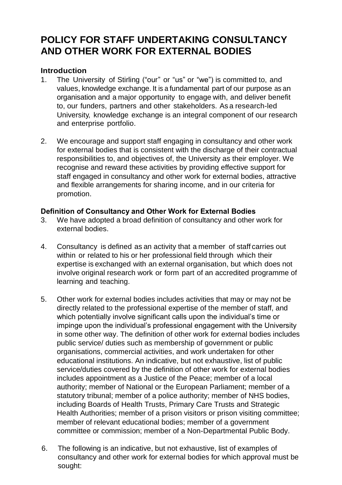# **POLICY FOR STAFF UNDERTAKING CONSULTANCY AND OTHER WORK FOR EXTERNAL BODIES**

#### **Introduction**

- 1. The University of Stirling ("our" or "us" or "we") is committed to, and values, knowledge exchange. It is a fundamental part of our purpose as an organisation and a major opportunity to engage with, and deliver benefit to, our funders, partners and other stakeholders. As a research-led University, knowledge exchange is an integral component of our research and enterprise portfolio.
- 2. We encourage and support staff engaging in consultancy and other work for external bodies that is consistent with the discharge of their contractual responsibilities to, and objectives of, the University as their employer. We recognise and reward these activities by providing effective support for staff engaged in consultancy and other work for external bodies, attractive and flexible arrangements for sharing income, and in our criteria for promotion.

# **Definition of Consultancy and Other Work for External Bodies**

- 3. We have adopted a broad definition of consultancy and other work for external bodies.
- 4. Consultancy is defined as an activity that a member of staff carries out within or related to his or her professional field through which their expertise is exchanged with an external organisation, but which does not involve original research work or form part of an accredited programme of learning and teaching.
- 5. Other work for external bodies includes activities that may or may not be directly related to the professional expertise of the member of staff, and which potentially involve significant calls upon the individual's time or impinge upon the individual's professional engagement with the University in some other way. The definition of other work for external bodies includes public service/ duties such as membership of government or public organisations, commercial activities, and work undertaken for other educational institutions. An indicative, but not exhaustive, list of public service/duties covered by the definition of other work for external bodies includes appointment as a Justice of the Peace; member of a local authority; member of National or the European Parliament; member of a statutory tribunal; member of a police authority; member of NHS bodies, including Boards of Health Trusts, Primary Care Trusts and Strategic Health Authorities; member of a prison visitors or prison visiting committee; member of relevant educational bodies; member of a government committee or commission; member of a Non-Departmental Public Body.
- 6. The following is an indicative, but not exhaustive, list of examples of consultancy and other work for external bodies for which approval must be sought: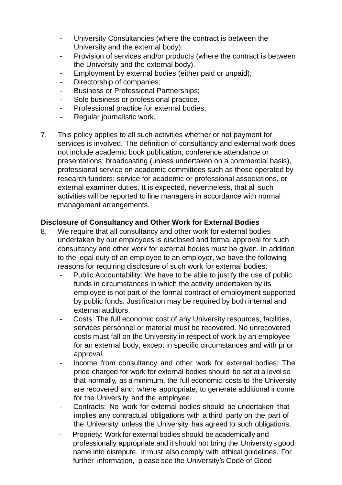- University Consultancies (where the contract is between the University and the external body);
- Provision of services and/or products (where the contract is between the University and the external body).
- Employment by external bodies (either paid or unpaid);
- Directorship of companies;
- Business or Professional Partnerships:
- Sole business or professional practice.
- Professional practice for external bodies;
- Regular journalistic work.
- 7. This policy applies to all such activities whether or not payment for services is involved. The definition of consultancy and external work does not include academic book publication; conference attendance or presentations; broadcasting (unless undertaken on a commercial basis), professional service on academic committees such as those operated by research funders; service for academic or professional associations, or external examiner duties. It is expected, nevertheless, that all such activities will be reported to line managers in accordance with normal management arrangements.

# **Disclosure of Consultancy and Other Work for External Bodies**

- 8. We require that all consultancy and other work for external bodies undertaken by our employees is disclosed and formal approval for such consultancy and other work for external bodies must be given. In addition to the legal duty of an employee to an employer, we have the following reasons for requiring disclosure of such work for external bodies:
	- Public Accountability: We have to be able to justify the use of public funds in circumstances in which the activity undertaken by its employee is not part of the formal contract of employment supported by public funds. Justification may be required by both internal and external auditors.
	- Costs: The full economic cost of any University resources, facilities, services personnel or material must be recovered. No unrecovered costs must fall on the University in respect of work by an employee for an external body, except in specific circumstances and with prior approval.
	- Income from consultancy and other work for external bodies: The price charged for work for external bodies should be set at a level so that normally, as a minimum, the full economic costs to the University are recovered and, where appropriate, to generate additional income for the University and the employee.
	- Contracts: No work for external bodies should be undertaken that implies any contractual obligations with a third party on the part of the University unless the University has agreed to such obligations.
	- Propriety: Work for external bodies should be academically and professionally appropriate and it should not bring the University's good name into disrepute. It must also comply with ethical guidelines. For further information, please see the University's Code of Good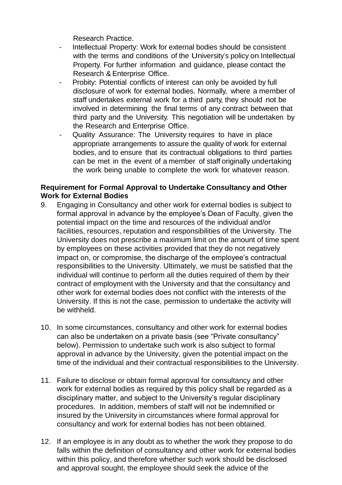Research Practice.

- Intellectual Property: Work for external bodies should be consistent with the terms and conditions of the University's policy on Intellectual Property. For further information and guidance, please contact the Research & Enterprise Office.
- Probity: Potential conflicts of interest can only be avoided by full disclosure of work for external bodies. Normally, where a member of staff undertakes external work for a third party, they should not be involved in determining the final terms of any contract between that third party and the University. This negotiation will be undertaken by the Research and Enterprise Office.
- Quality Assurance: The University requires to have in place appropriate arrangements to assure the quality of work for external bodies, and to ensure that its contractual obligations to third parties can be met in the event of a member of staff originally undertaking the work being unable to complete the work for whatever reason.

## **Requirement for Formal Approval to Undertake Consultancy and Other Work for External Bodies**

- 9. Engaging in Consultancy and other work for external bodies is subject to formal approval in advance by the employee's Dean of Faculty, given the potential impact on the time and resources of the individual and/or facilities, resources, reputation and responsibilities of the University. The University does not prescribe a maximum limit on the amount of time spent by employees on these activities provided that they do not negatively impact on, or compromise, the discharge of the employee's contractual responsibilities to the University. Ultimately, we must be satisfied that the individual will continue to perform all the duties required of them by their contract of employment with the University and that the consultancy and other work for external bodies does not conflict with the interests of the University. If this is not the case, permission to undertake the activity will be withheld.
- 10. In some circumstances, consultancy and other work for external bodies can also be undertaken on a private basis (see "Private consultancy" below). Permission to undertake such work is also subject to formal approval in advance by the University, given the potential impact on the time of the individual and their contractual responsibilities to the University.
- 11. Failure to disclose or obtain formal approval for consultancy and other work for external bodies as required by this policy shall be regarded as a disciplinary matter, and subject to the University's regular disciplinary procedures. In addition, members of staff will not be indemnified or insured by the University in circumstances where formal approval for consultancy and work for external bodies has not been obtained.
- 12. If an employee is in any doubt as to whether the work they propose to do falls within the definition of consultancy and other work for external bodies within this policy, and therefore whether such work should be disclosed and approval sought, the employee should seek the advice of the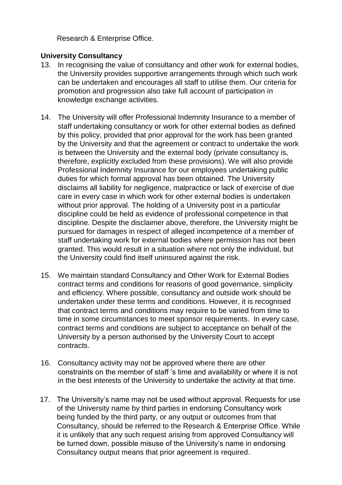Research & Enterprise Office.

### **University Consultancy**

- 13. In recognising the value of consultancy and other work for external bodies, the University provides supportive arrangements through which such work can be undertaken and encourages all staff to utilise them. Our criteria for promotion and progression also take full account of participation in knowledge exchange activities.
- 14. The University will offer Professional Indemnity Insurance to a member of staff undertaking consultancy or work for other external bodies as defined by this policy, provided that prior approval for the work has been granted by the University and that the agreement or contract to undertake the work is between the University and the external body (private consultancy is, therefore, explicitly excluded from these provisions). We will also provide Professional Indemnity Insurance for our employees undertaking public duties for which formal approval has been obtained. The University disclaims all liability for negligence, malpractice or lack of exercise of due care in every case in which work for other external bodies is undertaken without prior approval. The holding of a University post in a particular discipline could be held as evidence of professional competence in that discipline. Despite the disclaimer above, therefore, the University might be pursued for damages in respect of alleged incompetence of a member of staff undertaking work for external bodies where permission has not been granted. This would result in a situation where not only the individual, but the University could find itself uninsured against the risk.
- 15. We maintain standard Consultancy and Other Work for External Bodies contract terms and conditions for reasons of good governance, simplicity and efficiency. Where possible, consultancy and outside work should be undertaken under these terms and conditions. However, it is recognised that contract terms and conditions may require to be varied from time to time in some circumstances to meet sponsor requirements. In every case, contract terms and conditions are subject to acceptance on behalf of the University by a person authorised by the University Court to accept contracts.
- 16. Consultancy activity may not be approved where there are other constraints on the member of staff 's time and availability or where it is not in the best interests of the University to undertake the activity at that time.
- 17. The University's name may not be used without approval. Requests for use of the University name by third parties in endorsing Consultancy work being funded by the third party, or any output or outcomes from that Consultancy, should be referred to the Research & Enterprise Office. While it is unlikely that any such request arising from approved Consultancy will be turned down, possible misuse of the University's name in endorsing Consultancy output means that prior agreement is required.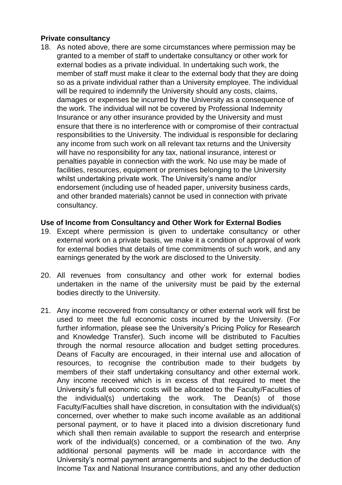### **Private consultancy**

18. As noted above, there are some circumstances where permission may be granted to a member of staff to undertake consultancy or other work for external bodies as a private individual. In undertaking such work, the member of staff must make it clear to the external body that they are doing so as a private individual rather than a University employee. The individual will be required to indemnify the University should any costs, claims, damages or expenses be incurred by the University as a consequence of the work. The individual will not be covered by Professional Indemnity Insurance or any other insurance provided by the University and must ensure that there is no interference with or compromise of their contractual responsibilities to the University. The individual is responsible for declaring any income from such work on all relevant tax returns and the University will have no responsibility for any tax, national insurance, interest or penalties payable in connection with the work. No use may be made of facilities, resources, equipment or premises belonging to the University whilst undertaking private work. The University's name and/or endorsement (including use of headed paper, university business cards, and other branded materials) cannot be used in connection with private consultancy.

### **Use of Income from Consultancy and Other Work for External Bodies**

- 19. Except where permission is given to undertake consultancy or other external work on a private basis, we make it a condition of approval of work for external bodies that details of time commitments of such work, and any earnings generated by the work are disclosed to the University.
- 20. All revenues from consultancy and other work for external bodies undertaken in the name of the university must be paid by the external bodies directly to the University.
- 21. Any income recovered from consultancy or other external work will first be used to meet the full economic costs incurred by the University. (For further information, please see the University's Pricing Policy for Research and Knowledge Transfer). Such income will be distributed to Faculties through the normal resource allocation and budget setting procedures. Deans of Faculty are encouraged, in their internal use and allocation of resources, to recognise the contribution made to their budgets by members of their staff undertaking consultancy and other external work. Any income received which is in excess of that required to meet the University's full economic costs will be allocated to the Faculty/Faculties of the individual(s) undertaking the work. The Dean(s) of those Faculty/Faculties shall have discretion, in consultation with the individual(s) concerned, over whether to make such income available as an additional personal payment, or to have it placed into a division discretionary fund which shall then remain available to support the research and enterprise work of the individual(s) concerned, or a combination of the two. Any additional personal payments will be made in accordance with the University's normal payment arrangements and subject to the deduction of Income Tax and National Insurance contributions, and any other deduction